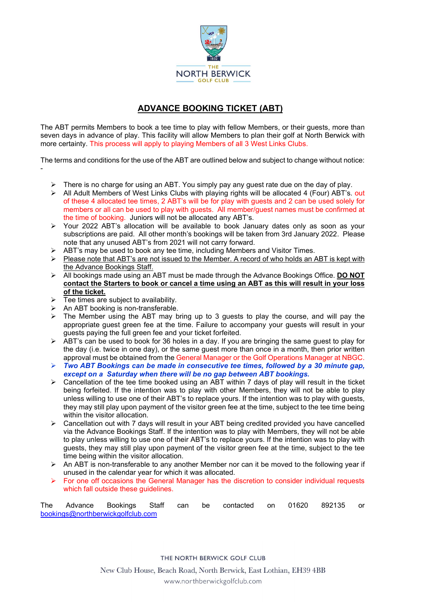

## ADVANCE BOOKING TICKET (ABT)

The ABT permits Members to book a tee time to play with fellow Members, or their guests, more than seven days in advance of play. This facility will allow Members to plan their golf at North Berwick with more certainty. This process will apply to playing Members of all 3 West Links Clubs.

The terms and conditions for the use of the ABT are outlined below and subject to change without notice: -

- > There is no charge for using an ABT. You simply pay any guest rate due on the day of play.
- > All Adult Members of West Links Clubs with playing rights will be allocated 4 (Four) ABT's. out of these 4 allocated tee times, 2 ABT's will be for play with guests and 2 can be used solely for members or all can be used to play with guests. All member/guest names must be confirmed at the time of booking. Juniors will not be allocated any ABT's.
- Your 2022 ABT's allocation will be available to book January dates only as soon as your subscriptions are paid. All other month's bookings will be taken from 3rd January 2022. Please note that any unused ABT's from 2021 will not carry forward.
- $\triangleright$  ABT's may be used to book any tee time, including Members and Visitor Times.
- $\triangleright$  Please note that ABT's are not issued to the Member. A record of who holds an ABT is kept with the Advance Bookings Staff.
- $\triangleright$  All bookings made using an ABT must be made through the Advance Bookings Office. **DO NOT** contact the Starters to book or cancel a time using an ABT as this will result in your loss of the ticket.
- $\triangleright$  Tee times are subject to availability.
- $\triangleright$  An ABT booking is non-transferable.
- $\triangleright$  The Member using the ABT may bring up to 3 guests to play the course, and will pay the appropriate guest green fee at the time. Failure to accompany your guests will result in your guests paying the full green fee and your ticket forfeited.
- > ABT's can be used to book for 36 holes in a day. If you are bringing the same guest to play for the day (i.e. twice in one day), or the same guest more than once in a month, then prior written approval must be obtained from the General Manager or the Golf Operations Manager at NBGC.
- $\triangleright$  Two ABT Bookings can be made in consecutive tee times, followed by a 30 minute gap, except on a Saturday when there will be no gap between ABT bookings.
- $\triangleright$  Cancellation of the tee time booked using an ABT within 7 days of play will result in the ticket being forfeited. If the intention was to play with other Members, they will not be able to play unless willing to use one of their ABT's to replace yours. If the intention was to play with guests, they may still play upon payment of the visitor green fee at the time, subject to the tee time being within the visitor allocation.
- $\triangleright$  Cancellation out with 7 days will result in your ABT being credited provided you have cancelled via the Advance Bookings Staff. If the intention was to play with Members, they will not be able to play unless willing to use one of their ABT's to replace yours. If the intention was to play with guests, they may still play upon payment of the visitor green fee at the time, subject to the tee time being within the visitor allocation.
- $\triangleright$  An ABT is non-transferable to any another Member nor can it be moved to the following year if unused in the calendar year for which it was allocated.
- For one off occasions the General Manager has the discretion to consider individual requests which fall outside these quidelines.

| The                               |  |  |  |  |  | Advance Bookings Staff can be contacted on 01620 892135 or |  |  |
|-----------------------------------|--|--|--|--|--|------------------------------------------------------------|--|--|
| bookings@northberwickgolfclub.com |  |  |  |  |  |                                                            |  |  |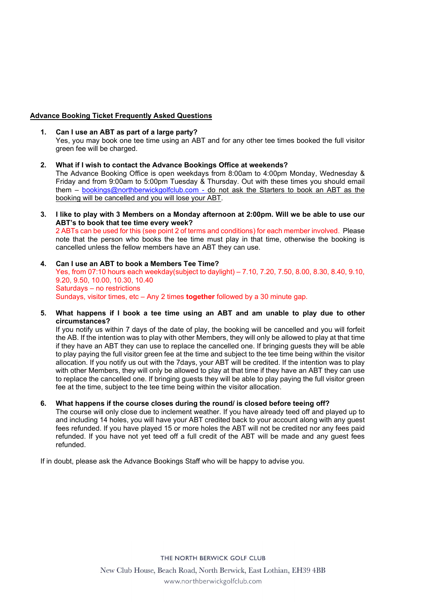## Advance Booking Ticket Frequently Asked Questions

- 1. Can I use an ABT as part of a large party? Yes, you may book one tee time using an ABT and for any other tee times booked the full visitor green fee will be charged.
- 2. What if I wish to contact the Advance Bookings Office at weekends? The Advance Booking Office is open weekdays from 8:00am to 4:00pm Monday, Wednesday & Friday and from 9:00am to 5:00pm Tuesday & Thursday. Out with these times you should email them – bookings@northberwickgolfclub.com - do not ask the Starters to book an ABT as the booking will be cancelled and you will lose your ABT.
- 3. I like to play with 3 Members on a Monday afternoon at 2:00pm. Will we be able to use our ABT's to book that tee time every week? 2 ABTs can be used for this (see point 2 of terms and conditions) for each member involved. Please

note that the person who books the tee time must play in that time, otherwise the booking is cancelled unless the fellow members have an ABT they can use.

- 4. Can I use an ABT to book a Members Tee Time? Yes, from 07:10 hours each weekday(subject to daylight) – 7.10, 7.20, 7.50, 8.00, 8.30, 8.40, 9.10, 9.20, 9.50, 10.00, 10.30, 10.40 Saturdays – no restrictions Sundays, visitor times, etc – Any 2 times **together** followed by a 30 minute gap.
- 5. What happens if I book a tee time using an ABT and am unable to play due to other circumstances?

 If you notify us within 7 days of the date of play, the booking will be cancelled and you will forfeit the AB. If the intention was to play with other Members, they will only be allowed to play at that time if they have an ABT they can use to replace the cancelled one. If bringing guests they will be able to play paying the full visitor green fee at the time and subject to the tee time being within the visitor allocation. If you notify us out with the 7days, your ABT will be credited. If the intention was to play with other Members, they will only be allowed to play at that time if they have an ABT they can use to replace the cancelled one. If bringing guests they will be able to play paying the full visitor green fee at the time, subject to the tee time being within the visitor allocation.

6. What happens if the course closes during the round/ is closed before teeing off?

 The course will only close due to inclement weather. If you have already teed off and played up to and including 14 holes, you will have your ABT credited back to your account along with any guest fees refunded. If you have played 15 or more holes the ABT will not be credited nor any fees paid refunded. If you have not yet teed off a full credit of the ABT will be made and any guest fees refunded.

If in doubt, please ask the Advance Bookings Staff who will be happy to advise you.